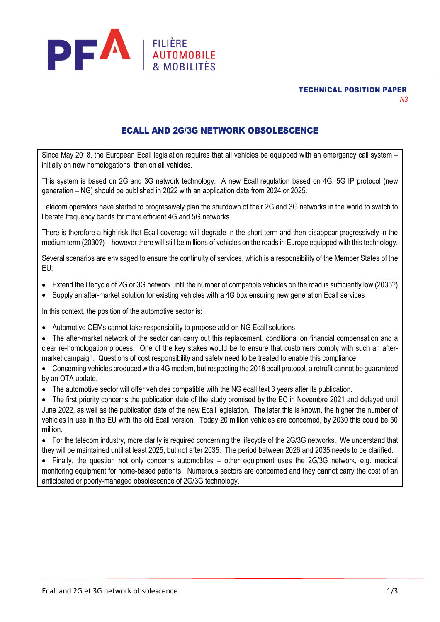TECHNICAL POSITION PAPER *N3*



# ECALL AND 2G/3G NETWORK OBSOLESCENCE

Since May 2018, the European Ecall legislation requires that all vehicles be equipped with an emergency call system – initially on new homologations, then on all vehicles.

This system is based on 2G and 3G network technology. A new Ecall regulation based on 4G, 5G IP protocol (new generation – NG) should be published in 2022 with an application date from 2024 or 2025.

Telecom operators have started to progressively plan the shutdown of their 2G and 3G networks in the world to switch to liberate frequency bands for more efficient 4G and 5G networks.

There is therefore a high risk that Ecall coverage will degrade in the short term and then disappear progressively in the medium term (2030?) – however there will still be millions of vehicles on the roads in Europe equipped with this technology.

Several scenarios are envisaged to ensure the continuity of services, which is a responsibility of the Member States of the EU:

- Extend the lifecycle of 2G or 3G network until the number of compatible vehicles on the road is sufficiently low (2035?)
- Supply an after-market solution for existing vehicles with a 4G box ensuring new generation Ecall services

In this context, the position of the automotive sector is:

- Automotive OEMs cannot take responsibility to propose add-on NG Ecall solutions
- The after-market network of the sector can carry out this replacement, conditional on financial compensation and a clear re-homologation process. One of the key stakes would be to ensure that customers comply with such an aftermarket campaign. Questions of cost responsibility and safety need to be treated to enable this compliance.
- Concerning vehicles produced with a 4G modem, but respecting the 2018 ecall protocol, a retrofit cannot be guaranteed by an OTA update.
- The automotive sector will offer vehicles compatible with the NG ecall text 3 years after its publication.
- The first priority concerns the publication date of the study promised by the EC in Novembre 2021 and delayed until June 2022, as well as the publication date of the new Ecall legislation. The later this is known, the higher the number of vehicles in use in the EU with the old Ecall version. Today 20 million vehicles are concerned, by 2030 this could be 50 million.

• For the telecom industry, more clarity is required concerning the lifecycle of the 2G/3G networks. We understand that they will be maintained until at least 2025, but not after 2035. The period between 2026 and 2035 needs to be clarified.

• Finally, the question not only concerns automobiles – other equipment uses the 2G/3G network, e.g. medical monitoring equipment for home-based patients. Numerous sectors are concerned and they cannot carry the cost of an anticipated or poorly-managed obsolescence of 2G/3G technology.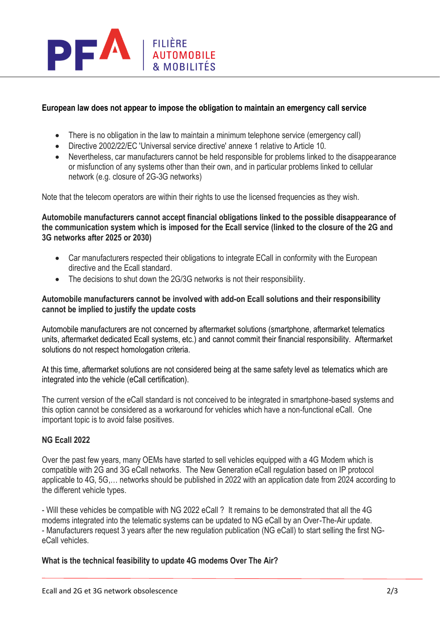

## **European law does not appear to impose the obligation to maintain an emergency call service**

- There is no obligation in the law to maintain a minimum telephone service (emergency call)
- Directive 2002/22/EC 'Universal service directive' annexe 1 relative to Article 10.
- Nevertheless, car manufacturers cannot be held responsible for problems linked to the disappearance or misfunction of any systems other than their own, and in particular problems linked to cellular network (e.g. closure of 2G-3G networks)

Note that the telecom operators are within their rights to use the licensed frequencies as they wish.

**Automobile manufacturers cannot accept financial obligations linked to the possible disappearance of the communication system which is imposed for the Ecall service (linked to the closure of the 2G and 3G networks after 2025 or 2030)**

- Car manufacturers respected their obligations to integrate ECall in conformity with the European directive and the Ecall standard.
- The decisions to shut down the 2G/3G networks is not their responsibility.

#### **Automobile manufacturers cannot be involved with add-on Ecall solutions and their responsibility cannot be implied to justify the update costs**

Automobile manufacturers are not concerned by aftermarket solutions (smartphone, aftermarket telematics units, aftermarket dedicated Ecall systems, etc.) and cannot commit their financial responsibility. Aftermarket solutions do not respect homologation criteria.

At this time, aftermarket solutions are not considered being at the same safety level as telematics which are integrated into the vehicle (eCall certification).

The current version of the eCall standard is not conceived to be integrated in smartphone-based systems and this option cannot be considered as a workaround for vehicles which have a non-functional eCall. One important topic is to avoid false positives.

### **NG Ecall 2022**

Over the past few years, many OEMs have started to sell vehicles equipped with a 4G Modem which is compatible with 2G and 3G eCall networks. The New Generation eCall regulation based on IP protocol applicable to 4G, 5G,… networks should be published in 2022 with an application date from 2024 according to the different vehicle types.

- Will these vehicles be compatible with NG 2022 eCall ? It remains to be demonstrated that all the 4G modems integrated into the telematic systems can be updated to NG eCall by an Over-The-Air update. - Manufacturers request 3 years after the new regulation publication (NG eCall) to start selling the first NGeCall vehicles.

### **What is the technical feasibility to update 4G modems Over The Air?**